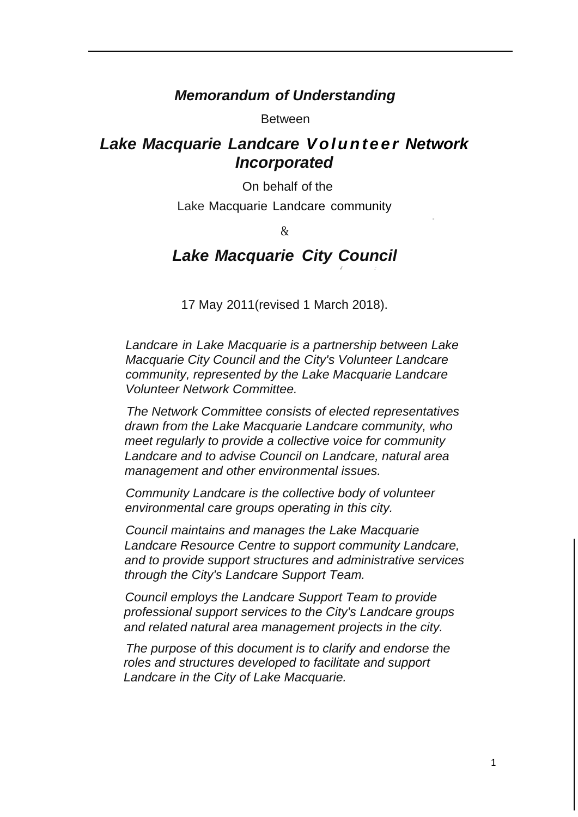## *Memorandum of Understanding*

Between

## *Lake Macquarie Landcare V ol u n t e e r Network Incorporated*

On behalf of the

Lake Macquarie Landcare community

.

&

# Lake Macquarie City Council

17 May 2011(revised 1 March 2018).

*Landcare in Lake Macquarie is a partnership between Lake Macquarie City Council and the City's Volunteer Landcare community, represented by the Lake Macquarie Landcare Volunteer Network Committee.*

*The Network Committee consists of elected representatives drawn from the Lake Macquarie Landcare community, who meet regularly to provide a collective voice for community Landcare and to advise Council on Landcare, natural area management and other environmental issues.*

*Community Landcare is the collective body of volunteer environmental care groups operating in this city.*

*Council maintains and manages the Lake Macquarie Landcare Resource Centre to support community Landcare, and to provide support structures and administrative services through the City's Landcare Support Team.*

*Council employs the Landcare Support Team to provide professional support services to the City's Landcare groups and related natural area management projects in the city.*

*The purpose of this document is to clarify and endorse the roles and structures developed to facilitate and support Landcare in the City of Lake Macquarie.*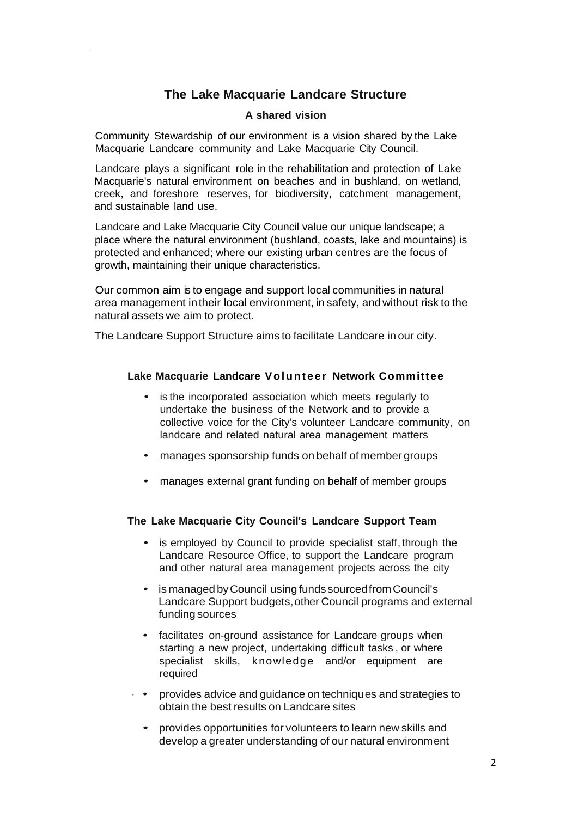## **The Lake Macquarie Landcare Structure**

#### **A shared vision**

Community Stewardship of our environment is a vision shared by the Lake Macquarie Landcare community and Lake Macquarie City Council.

Landcare plays a significant role in the rehabilitation and protection of Lake Macquarie's natural environment on beaches and in bushland, on wetland, creek, and foreshore reserves, for biodiversity, catchment management, and sustainable land use.

Landcare and Lake Macquarie City Council value our unique landscape; a place where the natural environment (bushland, coasts, lake and mountains) is protected and enhanced; where our existing urban centres are the focus of growth, maintaining their unique characteristics.

Our common aim is to engage and support local communities in natural area management intheir local environment, in safety, andwithout risk to the natural assets we aim to protect.

The Landcare Support Structure aims to facilitate Landcare in our city.

#### **Lake Macquarie Landcare Vol unt e e r Network Committee**

- is the incorporated association which meets regularly to undertake the business of the Network and to provide a collective voice for the City's volunteer Landcare community, on landcare and related natural area management matters
- manages sponsorship funds on behalf of member groups
- manages external grant funding on behalf of member groups

### **The Lake Macquarie City Council's Landcare Support Team**

- is employed by Council to provide specialist staff, through the Landcare Resource Office, to support the Landcare program and other natural area management projects across the city
- is managed byCouncil using funds sourcedfromCouncil's Landcare Support budgets,other Council programs and external funding sources
- facilitates on-ground assistance for Landcare groups when starting a new project, undertaking difficult tasks , or where specialist skills, knowledge and/or equipment are required
- provides advice and guidance on techniques and strategies to obtain the best results on Landcare sites
	- provides opportunities for volunteers to learn new skills and develop a greater understanding of our natural environment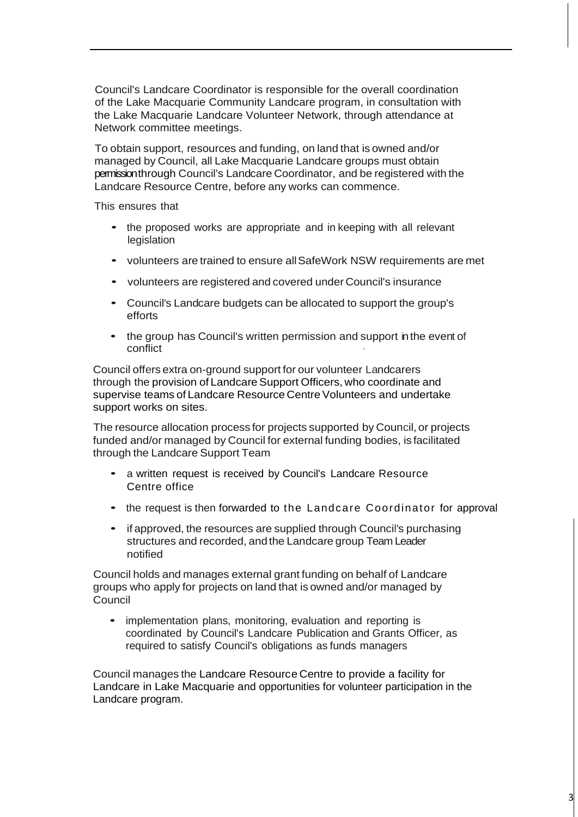Council's Landcare Coordinator is responsible for the overall coordination of the Lake Macquarie Community Landcare program, in consultation with the Lake Macquarie Landcare Volunteer Network, through attendance at Network committee meetings.

To obtain support, resources and funding, on land that is owned and/or managed by Council, all Lake Macquarie Landcare groups must obtain permission through Council's Landcare Coordinator, and be registered with the Landcare Resource Centre, before any works can commence.

This ensures that

- the proposed works are appropriate and in keeping with all relevant legislation
- volunteers are trained to ensure allSafeWork NSW requirements are met
- volunteers are registered and covered under Council's insurance
- Council's Landcare budgets can be allocated to support the group's efforts
- the group has Council's written permission and support in the event of conflict ·

Council offers extra on-ground support for our volunteer Landcarers through the provision of Landcare Support Officers, who coordinate and supervise teams of Landcare Resource Centre Volunteers and undertake support works on sites.

The resource allocation process for projects supported by Council, or projects funded and/or managed by Council for external funding bodies, is facilitated through the Landcare Support Team

- a written request is received by Council's Landcare Resource Centre office
- the request is then forwarded to the Landcare Coordinator for approval
- if approved, the resources are supplied through Council's purchasing structures and recorded, and the Landcare group Team Leader notified

Council holds and manages external grant funding on behalf of Landcare groups who apply for projects on land that is owned and/or managed by Council

• implementation plans, monitoring, evaluation and reporting is coordinated by Council's Landcare Publication and Grants Officer, as required to satisfy Council's obligations as funds managers

Council manages the Landcare Resource Centre to provide a facility for Landcare in Lake Macquarie and opportunities for volunteer participation in the Landcare program.